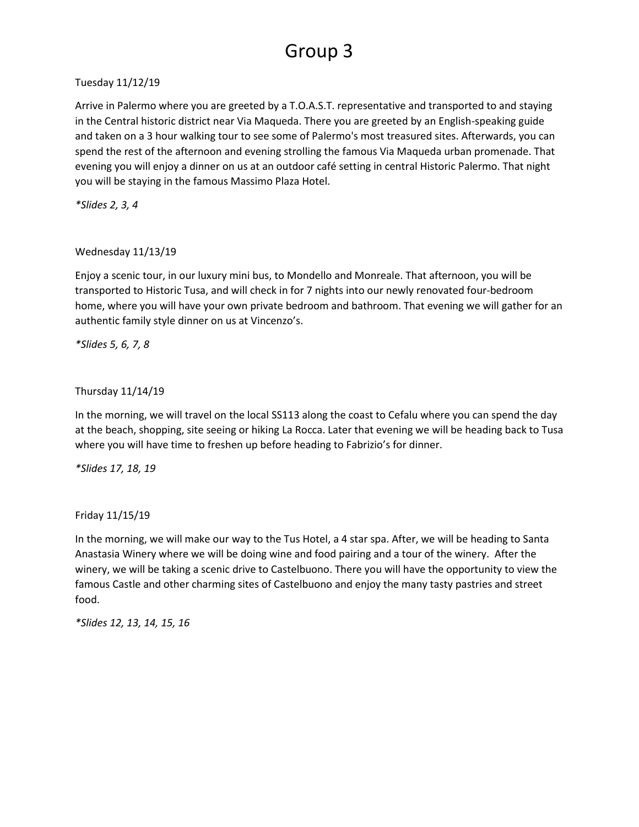# Group 3

### Tuesday 11/12/19

Arrive in Palermo where you are greeted by a T.O.A.S.T. representative and transported to and staying in the Central historic district near Via Maqueda. There you are greeted by an English-speaking guide and taken on a 3 hour walking tour to see some of Palermo's most treasured sites. Afterwards, you can spend the rest of the afternoon and evening strolling the famous Via Maqueda urban promenade. That evening you will enjoy a dinner on us at an outdoor café setting in central Historic Palermo. That night you will be staying in the famous Massimo Plaza Hotel.

*\*Slides 2, 3, 4*

### Wednesday 11/13/19

Enjoy a scenic tour, in our luxury mini bus, to Mondello and Monreale. That afternoon, you will be transported to Historic Tusa, and will check in for 7 nights into our newly renovated four-bedroom home, where you will have your own private bedroom and bathroom. That evening we will gather for an authentic family style dinner on us at Vincenzo's.

*\*Slides 5, 6, 7, 8*

## Thursday 11/14/19

In the morning, we will travel on the local SS113 along the coast to Cefalu where you can spend the day at the beach, shopping, site seeing or hiking La Rocca. Later that evening we will be heading back to Tusa where you will have time to freshen up before heading to Fabrizio's for dinner.

*\*Slides 17, 18, 19*

Friday 11/15/19

In the morning, we will make our way to the Tus Hotel, a 4 star spa. After, we will be heading to Santa Anastasia Winery where we will be doing wine and food pairing and a tour of the winery. After the winery, we will be taking a scenic drive to Castelbuono. There you will have the opportunity to view the famous Castle and other charming sites of Castelbuono and enjoy the many tasty pastries and street food.

*\*Slides 12, 13, 14, 15, 16*